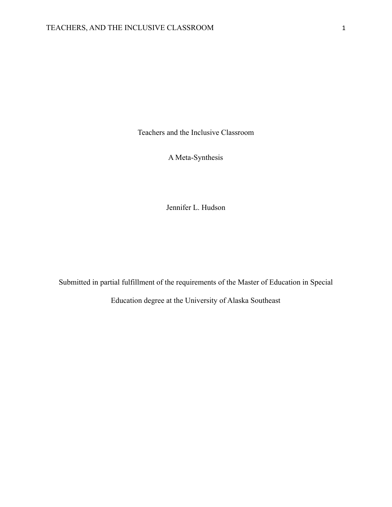Teachers and the Inclusive Classroom

A Meta-Synthesis

Jennifer L. Hudson

Submitted in partial fulfillment of the requirements of the Master of Education in Special

Education degree at the University of Alaska Southeast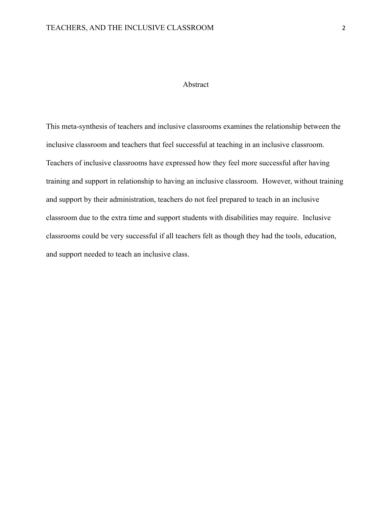## Abstract

This meta-synthesis of teachers and inclusive classrooms examines the relationship between the inclusive classroom and teachers that feel successful at teaching in an inclusive classroom. Teachers of inclusive classrooms have expressed how they feel more successful after having training and support in relationship to having an inclusive classroom. However, without training and support by their administration, teachers do not feel prepared to teach in an inclusive classroom due to the extra time and support students with disabilities may require. Inclusive classrooms could be very successful if all teachers felt as though they had the tools, education, and support needed to teach an inclusive class.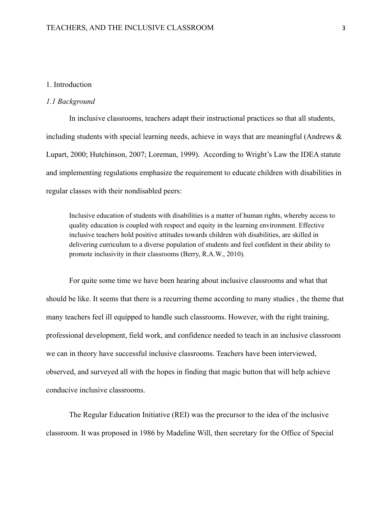## 1. Introduction

#### *1.1 Background*

In inclusive classrooms, teachers adapt their instructional practices so that all students, including students with special learning needs, achieve in ways that are meaningful (Andrews & Lupart, 2000; Hutchinson, 2007; Loreman, 1999). According to Wright's Law the IDEA statute and implementing regulations emphasize the requirement to educate children with disabilities in regular classes with their nondisabled peers:

Inclusive education of students with disabilities is a matter of human rights, whereby access to quality education is coupled with respect and equity in the learning environment. Effective inclusive teachers hold positive attitudes towards children with disabilities, are skilled in delivering curriculum to a diverse population of students and feel confident in their ability to promote inclusivity in their classrooms (Berry, R.A.W., 2010).

For quite some time we have been hearing about inclusive classrooms and what that should be like. It seems that there is a recurring theme according to many studies , the theme that many teachers feel ill equipped to handle such classrooms. However, with the right training, professional development, field work, and confidence needed to teach in an inclusive classroom we can in theory have successful inclusive classrooms. Teachers have been interviewed, observed, and surveyed all with the hopes in finding that magic button that will help achieve conducive inclusive classrooms.

The Regular Education Initiative (REI) was the precursor to the idea of the inclusive classroom. It was proposed in 1986 by Madeline Will, then secretary for the Office of Special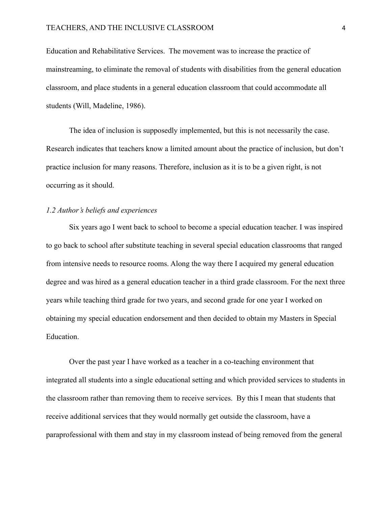Education and Rehabilitative Services. The movement was to increase the practice of mainstreaming, to eliminate the removal of students with disabilities from the general education classroom, and place students in a general education classroom that could accommodate all students (Will, Madeline, 1986).

The idea of inclusion is supposedly implemented, but this is not necessarily the case. Research indicates that teachers know a limited amount about the practice of inclusion, but don't practice inclusion for many reasons. Therefore, inclusion as it is to be a given right, is not occurring as it should.

#### *1.2 Author's beliefs and experiences*

Six years ago I went back to school to become a special education teacher. I was inspired to go back to school after substitute teaching in several special education classrooms that ranged from intensive needs to resource rooms. Along the way there I acquired my general education degree and was hired as a general education teacher in a third grade classroom. For the next three years while teaching third grade for two years, and second grade for one year I worked on obtaining my special education endorsement and then decided to obtain my Masters in Special Education.

Over the past year I have worked as a teacher in a co-teaching environment that integrated all students into a single educational setting and which provided services to students in the classroom rather than removing them to receive services. By this I mean that students that receive additional services that they would normally get outside the classroom, have a paraprofessional with them and stay in my classroom instead of being removed from the general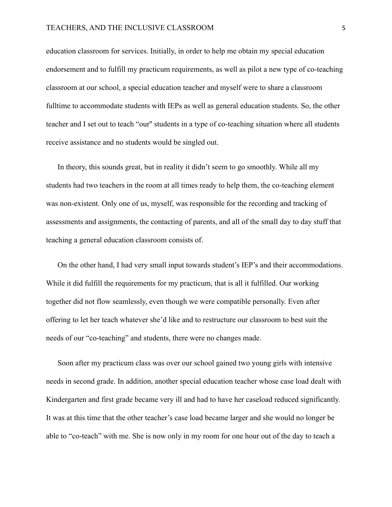education classroom for services. Initially, in order to help me obtain my special education endorsement and to fulfill my practicum requirements, as well as pilot a new type of co-teaching classroom at our school, a special education teacher and myself were to share a classroom fulltime to accommodate students with IEPs as well as general education students. So, the other teacher and I set out to teach "our'' students in a type of co-teaching situation where all students receive assistance and no students would be singled out.

In theory, this sounds great, but in reality it didn't seem to go smoothly. While all my students had two teachers in the room at all times ready to help them, the co-teaching element was non-existent. Only one of us, myself, was responsible for the recording and tracking of assessments and assignments, the contacting of parents, and all of the small day to day stuff that teaching a general education classroom consists of.

On the other hand, I had very small input towards student's IEP's and their accommodations. While it did fulfill the requirements for my practicum, that is all it fulfilled. Our working together did not flow seamlessly, even though we were compatible personally. Even after offering to let her teach whatever she'd like and to restructure our classroom to best suit the needs of our "co-teaching" and students, there were no changes made.

Soon after my practicum class was over our school gained two young girls with intensive needs in second grade. In addition, another special education teacher whose case load dealt with Kindergarten and first grade became very ill and had to have her caseload reduced significantly. It was at this time that the other teacher's case load became larger and she would no longer be able to "co-teach" with me. She is now only in my room for one hour out of the day to teach a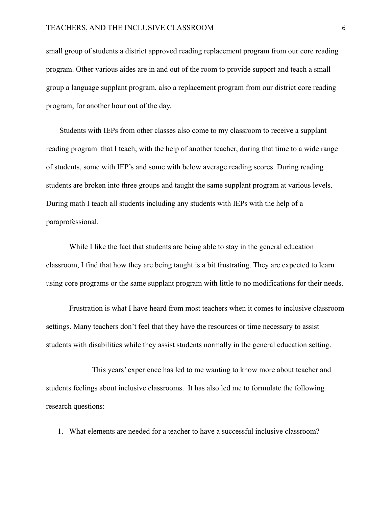small group of students a district approved reading replacement program from our core reading program. Other various aides are in and out of the room to provide support and teach a small group a language supplant program, also a replacement program from our district core reading program, for another hour out of the day.

Students with IEPs from other classes also come to my classroom to receive a supplant reading program that I teach, with the help of another teacher, during that time to a wide range of students, some with IEP's and some with below average reading scores. During reading students are broken into three groups and taught the same supplant program at various levels. During math I teach all students including any students with IEPs with the help of a paraprofessional.

While I like the fact that students are being able to stay in the general education classroom, I find that how they are being taught is a bit frustrating. They are expected to learn using core programs or the same supplant program with little to no modifications for their needs.

Frustration is what I have heard from most teachers when it comes to inclusive classroom settings. Many teachers don't feel that they have the resources or time necessary to assist students with disabilities while they assist students normally in the general education setting.

This years' experience has led to me wanting to know more about teacher and students feelings about inclusive classrooms. It has also led me to formulate the following research questions:

1. What elements are needed for a teacher to have a successful inclusive classroom?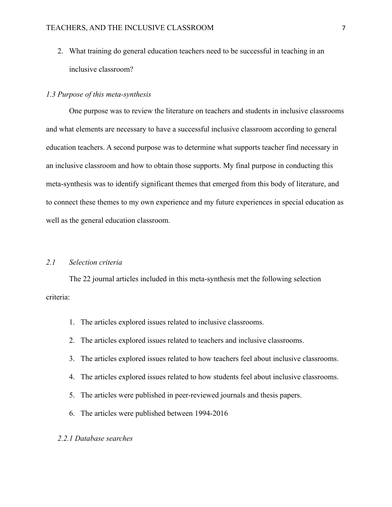2. What training do general education teachers need to be successful in teaching in an inclusive classroom?

#### *1.3 Purpose of this meta-synthesis*

One purpose was to review the literature on teachers and students in inclusive classrooms and what elements are necessary to have a successful inclusive classroom according to general education teachers. A second purpose was to determine what supports teacher find necessary in an inclusive classroom and how to obtain those supports. My final purpose in conducting this meta-synthesis was to identify significant themes that emerged from this body of literature, and to connect these themes to my own experience and my future experiences in special education as well as the general education classroom.

## *2.1 Selection criteria*

The 22 journal articles included in this meta-synthesis met the following selection criteria:

- 1. The articles explored issues related to inclusive classrooms.
- 2. The articles explored issues related to teachers and inclusive classrooms.
- 3. The articles explored issues related to how teachers feel about inclusive classrooms.
- 4. The articles explored issues related to how students feel about inclusive classrooms.
- 5. The articles were published in peer-reviewed journals and thesis papers.
- 6. The articles were published between 1994-2016

#### *2.2.1 Database searches*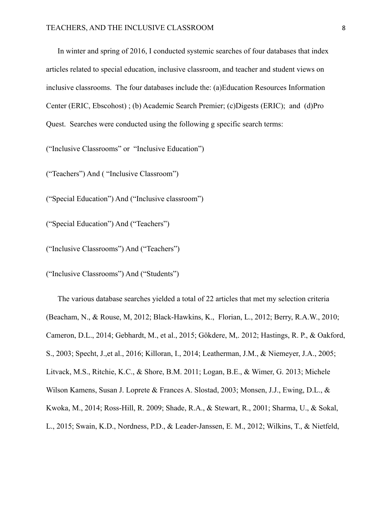In winter and spring of 2016, I conducted systemic searches of four databases that index articles related to special education, inclusive classroom, and teacher and student views on inclusive classrooms. The four databases include the: (a)Education Resources Information Center (ERIC, Ebscohost) ; (b) Academic Search Premier; (c)Digests (ERIC); and (d)Pro Quest. Searches were conducted using the following g specific search terms:

("Inclusive Classrooms" or "Inclusive Education")

("Teachers") And ( "Inclusive Classroom")

("Special Education") And ("Inclusive classroom")

("Special Education") And ("Teachers")

("Inclusive Classrooms") And ("Teachers")

("Inclusive Classrooms") And ("Students")

The various database searches yielded a total of 22 articles that met my selection criteria (Beacham, N., & Rouse, M, 2012; Black-Hawkins, K., Florian, L., 2012; Berry, R.A.W., 2010; Cameron, D.L., 2014; Gebhardt, M., et al., 2015; Gökdere, M,. 2012; Hastings, R. P., & Oakford, S., 2003; Specht, J.,et al., 2016; Killoran, I., 2014; Leatherman, J.M., & Niemeyer, J.A., 2005; Litvack, M.S., Ritchie, K.C., & Shore, B.M. 2011; Logan, B.E., & Wimer, G. 2013; Michele Wilson Kamens, Susan J. Loprete & Frances A. Slostad, 2003; Monsen, J.J., Ewing, D.L., & Kwoka, M., 2014; Ross-Hill, R. 2009; Shade, R.A., & Stewart, R., 2001; Sharma, U., & Sokal, L., 2015; Swain, K.D., Nordness, P.D., & Leader-Janssen, E. M., 2012; Wilkins, T., & Nietfeld,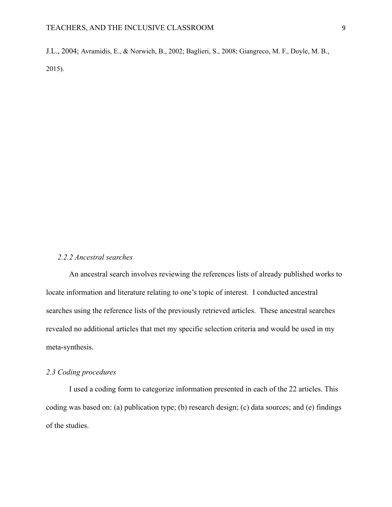#### TEACHERS, AND THE INCLUSIVE CLASSROOM 9

J.L., 2004; Avramidis, E., & Norwich, B., 2002; Baglieri, S., 2008; Giangreco, M. F., Doyle, M. B., 2015).

#### *2.2.2 Ancestral searches*

An ancestral search involves reviewing the references lists of already published works to locate information and literature relating to one's topic of interest. I conducted ancestral searches using the reference lists of the previously retrieved articles. These ancestral searches revealed no additional articles that met my specific selection criteria and would be used in my meta-synthesis.

## *2.3 Coding procedures*

I used a coding form to categorize information presented in each of the 22 articles. This coding was based on: (a) publication type; (b) research design; (c) data sources; and (e) findings of the studies.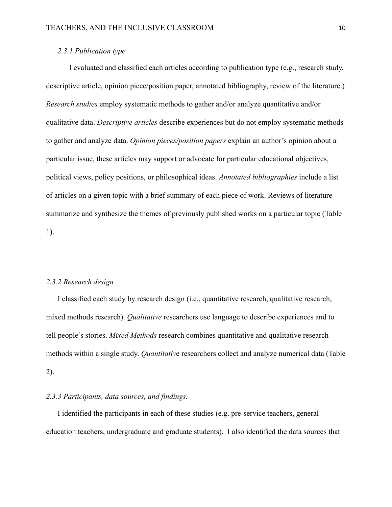## *2.3.1 Publication type*

I evaluated and classified each articles according to publication type (e.g., research study, descriptive article, opinion piece/position paper, annotated bibliography, review of the literature.) *Research studies* employ systematic methods to gather and/or analyze quantitative and/or qualitative data. *Descriptive articles* describe experiences but do not employ systematic methods to gather and analyze data. *Opinion pieces/position papers* explain an author's opinion about a particular issue, these articles may support or advocate for particular educational objectives, political views, policy positions, or philosophical ideas. *Annotated bibliographies* include a list of articles on a given topic with a brief summary of each piece of work. Reviews of literature summarize and synthesize the themes of previously published works on a particular topic (Table 1).

### *2.3.2 Research design*

I classified each study by research design (i.e., quantitative research, qualitative research, mixed methods research). *Qualitative* researchers use language to describe experiences and to tell people's stories. *Mixed Methods* research combines quantitative and qualitative research methods within a single study. *Quantitativ*e researchers collect and analyze numerical data (Table 2).

## *2.3.3 Participants, data sources, and findings.*

I identified the participants in each of these studies (e.g. pre-service teachers, general education teachers, undergraduate and graduate students). I also identified the data sources that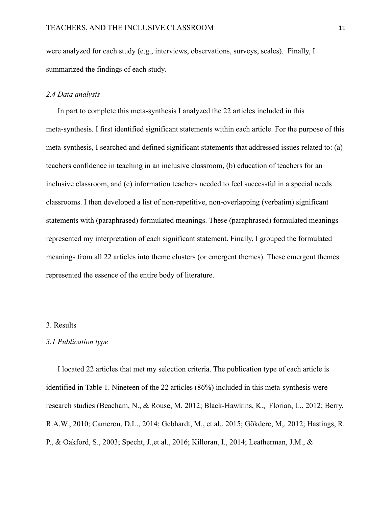were analyzed for each study (e.g., interviews, observations, surveys, scales). Finally, I summarized the findings of each study.

#### *2.4 Data analysis*

In part to complete this meta-synthesis I analyzed the 22 articles included in this meta-synthesis. I first identified significant statements within each article. For the purpose of this meta-synthesis, I searched and defined significant statements that addressed issues related to: (a) teachers confidence in teaching in an inclusive classroom, (b) education of teachers for an inclusive classroom, and (c) information teachers needed to feel successful in a special needs classrooms. I then developed a list of non-repetitive, non-overlapping (verbatim) significant statements with (paraphrased) formulated meanings. These (paraphrased) formulated meanings represented my interpretation of each significant statement. Finally, I grouped the formulated meanings from all 22 articles into theme clusters (or emergent themes). These emergent themes represented the essence of the entire body of literature.

## 3. Results

#### *3.1 Publication type*

I located 22 articles that met my selection criteria. The publication type of each article is identified in Table 1. Nineteen of the 22 articles (86%) included in this meta-synthesis were research studies (Beacham, N., & Rouse, M, 2012; Black-Hawkins, K., Florian, L., 2012; Berry, R.A.W., 2010; Cameron, D.L., 2014; Gebhardt, M., et al., 2015; Gökdere, M,. 2012; Hastings, R. P., & Oakford, S., 2003; Specht, J.,et al., 2016; Killoran, I., 2014; Leatherman, J.M., &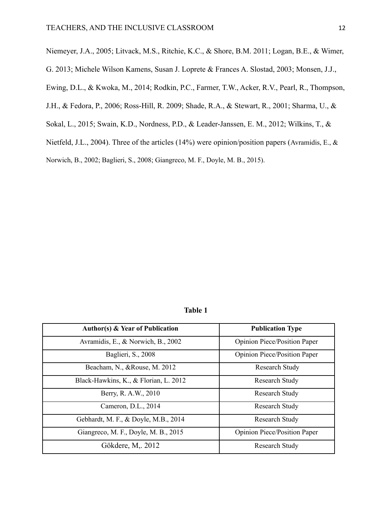Niemeyer, J.A., 2005; Litvack, M.S., Ritchie, K.C., & Shore, B.M. 2011; Logan, B.E., & Wimer,

G. 2013; Michele Wilson Kamens, Susan J. Loprete & Frances A. Slostad, 2003; Monsen, J.J.,

Ewing, D.L., & Kwoka, M., 2014; Rodkin, P.C., Farmer, T.W., Acker, R.V., Pearl, R., Thompson,

J.H., & Fedora, P., 2006; Ross-Hill, R. 2009; Shade, R.A., & Stewart, R., 2001; Sharma, U., &

Sokal, L., 2015; Swain, K.D., Nordness, P.D., & Leader-Janssen, E. M., 2012; Wilkins, T., &

Nietfeld, J.L., 2004). Three of the articles (14%) were opinion/position papers (Avramidis, E., &

Norwich, B., 2002; Baglieri, S., 2008; Giangreco, M. F., Doyle, M. B., 2015).

**Table 1**

| <b>Author(s) &amp; Year of Publication</b> | <b>Publication Type</b>             |
|--------------------------------------------|-------------------------------------|
| Avramidis, E., & Norwich, B., 2002         | <b>Opinion Piece/Position Paper</b> |
| Baglieri, S., 2008                         | <b>Opinion Piece/Position Paper</b> |
| Beacham, N., &Rouse, M. 2012               | Research Study                      |
| Black-Hawkins, K., & Florian, L. 2012      | <b>Research Study</b>               |
| Berry, R. A.W., 2010                       | <b>Research Study</b>               |
| Cameron, D.L., 2014                        | Research Study                      |
| Gebhardt, M. F., & Doyle, M.B., 2014       | <b>Research Study</b>               |
| Giangreco, M. F., Doyle, M. B., 2015       | <b>Opinion Piece/Position Paper</b> |
| Gökdere, M., 2012                          | Research Study                      |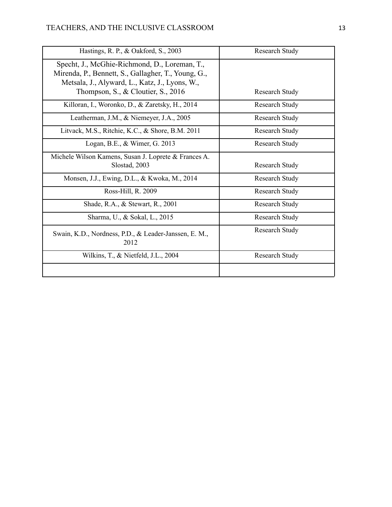| Hastings, R. P., & Oakford, S., 2003                                                                                                                                                           | <b>Research Study</b> |
|------------------------------------------------------------------------------------------------------------------------------------------------------------------------------------------------|-----------------------|
| Specht, J., McGhie-Richmond, D., Loreman, T.,<br>Mirenda, P., Bennett, S., Gallagher, T., Young, G.,<br>Metsala, J., Alyward, L., Katz, J., Lyons, W.,<br>Thompson, S., & Cloutier, S., $2016$ | Research Study        |
| Killoran, I., Woronko, D., & Zaretsky, H., 2014                                                                                                                                                | <b>Research Study</b> |
| Leatherman, J.M., & Niemeyer, J.A., 2005                                                                                                                                                       | <b>Research Study</b> |
| Litvack, M.S., Ritchie, K.C., & Shore, B.M. 2011                                                                                                                                               | <b>Research Study</b> |
| Logan, B.E., & Wimer, G. 2013                                                                                                                                                                  | <b>Research Study</b> |
| Michele Wilson Kamens, Susan J. Loprete & Frances A.<br>Slostad, 2003                                                                                                                          | <b>Research Study</b> |
| Monsen, J.J., Ewing, D.L., & Kwoka, M., 2014                                                                                                                                                   | Research Study        |
| Ross-Hill, R. 2009                                                                                                                                                                             | <b>Research Study</b> |
| Shade, R.A., & Stewart, R., 2001                                                                                                                                                               | <b>Research Study</b> |
| Sharma, U., & Sokal, L., 2015                                                                                                                                                                  | Research Study        |
| Swain, K.D., Nordness, P.D., & Leader-Janssen, E. M.,<br>2012                                                                                                                                  | <b>Research Study</b> |
| Wilkins, T., & Nietfeld, J.L., 2004                                                                                                                                                            | <b>Research Study</b> |
|                                                                                                                                                                                                |                       |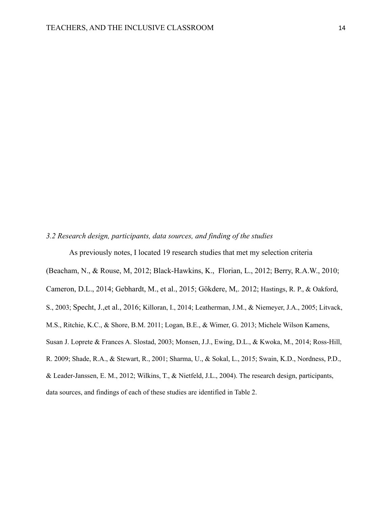#### *3.2 Research design, participants, data sources, and finding of the studies*

As previously notes, I located 19 research studies that met my selection criteria (Beacham, N., & Rouse, M, 2012; Black-Hawkins, K., Florian, L., 2012; Berry, R.A.W., 2010; Cameron, D.L., 2014; Gebhardt, M., et al., 2015; Gökdere, M,. 2012; Hastings, R. P., & Oakford, S., 2003; Specht, J.,et al., 2016; Killoran, I., 2014; Leatherman, J.M., & Niemeyer, J.A., 2005; Litvack, M.S., Ritchie, K.C., & Shore, B.M. 2011; Logan, B.E., & Wimer, G. 2013; Michele Wilson Kamens, Susan J. Loprete & Frances A. Slostad, 2003; Monsen, J.J., Ewing, D.L., & Kwoka, M., 2014; Ross-Hill, R. 2009; Shade, R.A., & Stewart, R., 2001; Sharma, U., & Sokal, L., 2015; Swain, K.D., Nordness, P.D., & Leader-Janssen, E. M., 2012; Wilkins, T., & Nietfeld, J.L., 2004). The research design, participants,

data sources, and findings of each of these studies are identified in Table 2.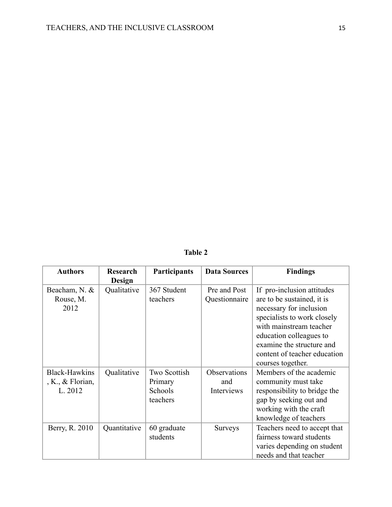# **Table 2**

| <b>Authors</b>       | <b>Research</b><br><b>Design</b> | Participants        | <b>Data Sources</b> | <b>Findings</b>                                       |
|----------------------|----------------------------------|---------------------|---------------------|-------------------------------------------------------|
| Beacham, N. &        | Qualitative                      | 367 Student         | Pre and Post        | If pro-inclusion attitudes                            |
| Rouse, M.<br>2012    |                                  | teachers            | Questionnaire       | are to be sustained, it is<br>necessary for inclusion |
|                      |                                  |                     |                     | specialists to work closely                           |
|                      |                                  |                     |                     | with mainstream teacher                               |
|                      |                                  |                     |                     | education colleagues to                               |
|                      |                                  |                     |                     | examine the structure and                             |
|                      |                                  |                     |                     | content of teacher education                          |
|                      |                                  |                     |                     | courses together.                                     |
| <b>Black-Hawkins</b> | Qualitative                      | <b>Two Scottish</b> | Observations        | Members of the academic                               |
| , K., $&$ Florian,   |                                  | Primary             | and                 | community must take                                   |
| L. 2012              |                                  | Schools             | Interviews          | responsibility to bridge the                          |
|                      |                                  | teachers            |                     | gap by seeking out and                                |
|                      |                                  |                     |                     | working with the craft                                |
|                      |                                  |                     |                     | knowledge of teachers                                 |
| Berry, R. 2010       | Quantitative                     | 60 graduate         | <b>Surveys</b>      | Teachers need to accept that                          |
|                      |                                  | students            |                     | fairness toward students                              |
|                      |                                  |                     |                     | varies depending on student                           |
|                      |                                  |                     |                     | needs and that teacher                                |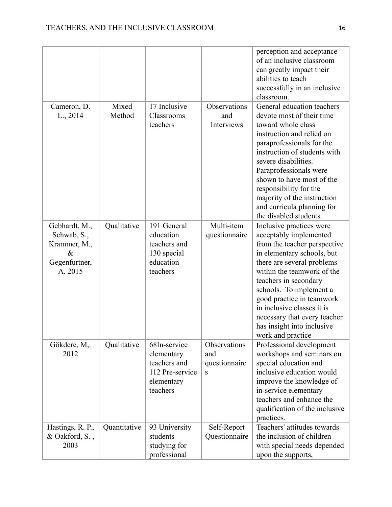|                                                                                  |                 |                                                                                         |                                           | perception and acceptance<br>of an inclusive classroom<br>can greatly impact their<br>abilities to teach<br>successfully in an inclusive<br>classroom.                                                                                                                                                                                                                         |
|----------------------------------------------------------------------------------|-----------------|-----------------------------------------------------------------------------------------|-------------------------------------------|--------------------------------------------------------------------------------------------------------------------------------------------------------------------------------------------------------------------------------------------------------------------------------------------------------------------------------------------------------------------------------|
| Cameron, D.<br>L., 2014                                                          | Mixed<br>Method | 17 Inclusive<br>Classrooms<br>teachers                                                  | Observations<br>and<br>Interviews         | General education teachers<br>devote most of their time<br>toward whole class<br>instruction and relied on<br>paraprofessionals for the<br>instruction of students with<br>severe disabilities.<br>Paraprofessionals were<br>shown to have most of the<br>responsibility for the<br>majority of the instruction<br>and curricula planning for<br>the disabled students.        |
| Gebhardt, M.,<br>Schwab, S.,<br>Krammer, M.,<br>$\&$<br>Gegenfurtner,<br>A. 2015 | Qualitative     | 191 General<br>education<br>teachers and<br>130 special<br>education<br>teachers        | Multi-item<br>questionnaire               | Inclusive practices were<br>acceptably implemented<br>from the teacher perspective<br>in elementary schools, but<br>there are several problems<br>within the teamwork of the<br>teachers in secondary<br>schools. To implement a<br>good practice in teamwork<br>in inclusive classes it is<br>necessary that every teacher<br>has insight into inclusive<br>work and practice |
| Gökdere, M,.<br>2012                                                             | Qualitative     | 68In-service<br>elementary<br>teachers and<br>112 Pre-service<br>elementary<br>teachers | Observations<br>and<br>questionnaire<br>S | Professional development<br>workshops and seminars on<br>special education and<br>inclusive education would<br>improve the knowledge of<br>in-service elementary<br>teachers and enhance the<br>qualification of the inclusive<br>practices.                                                                                                                                   |
| Hastings, R. P.,<br>& Oakford, S.,<br>2003                                       | Quantitative    | 93 University<br>students<br>studying for<br>professional                               | Self-Report<br>Questionnaire              | Teachers' attitudes towards<br>the inclusion of children<br>with special needs depended<br>upon the supports,                                                                                                                                                                                                                                                                  |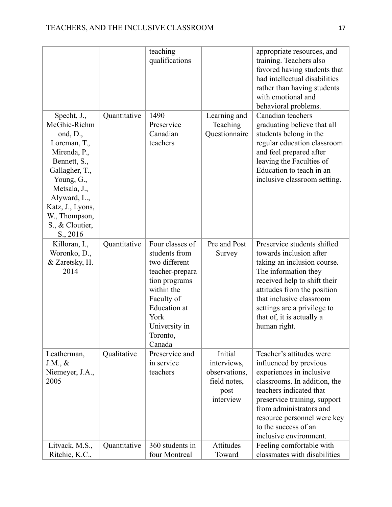|                                                                                                                                                                                                                                            |              | teaching<br>qualifications                                                                                                                                                              |                                                                              | appropriate resources, and<br>training. Teachers also<br>favored having students that<br>had intellectual disabilities<br>rather than having students<br>with emotional and<br>behavioral problems.                                                                                   |
|--------------------------------------------------------------------------------------------------------------------------------------------------------------------------------------------------------------------------------------------|--------------|-----------------------------------------------------------------------------------------------------------------------------------------------------------------------------------------|------------------------------------------------------------------------------|---------------------------------------------------------------------------------------------------------------------------------------------------------------------------------------------------------------------------------------------------------------------------------------|
| Specht, J.,<br>McGhie-Richm<br>ond, $D_{\cdot}$ ,<br>Loreman, T.,<br>Mirenda, P.,<br>Bennett, S.,<br>Gallagher, T.,<br>Young, G.,<br>Metsala, J.,<br>Alyward, L.,<br>Katz, J., Lyons,<br>W., Thompson,<br>S., & Cloutier,<br>$S_{.,} 2016$ | Quantitative | 1490<br>Preservice<br>Canadian<br>teachers                                                                                                                                              | Learning and<br>Teaching<br>Questionnaire                                    | Canadian teachers<br>graduating believe that all<br>students belong in the<br>regular education classroom<br>and feel prepared after<br>leaving the Faculties of<br>Education to teach in an<br>inclusive classroom setting.                                                          |
| Killoran, I.,<br>Woronko, D.,<br>& Zaretsky, H.<br>2014                                                                                                                                                                                    | Quantitative | Four classes of<br>students from<br>two different<br>teacher-prepara<br>tion programs<br>within the<br>Faculty of<br><b>Education</b> at<br>York<br>University in<br>Toronto,<br>Canada | Pre and Post<br>Survey                                                       | Preservice students shifted<br>towards inclusion after<br>taking an inclusion course.<br>The information they<br>received help to shift their<br>attitudes from the position<br>that inclusive classroom<br>settings are a privilege to<br>that of, it is actually a<br>human right.  |
| Leatherman,<br>$J.M., \&$<br>Niemeyer, J.A.,<br>2005                                                                                                                                                                                       | Qualitative  | Preservice and<br>in service<br>teachers                                                                                                                                                | Initial<br>interviews,<br>observations,<br>field notes,<br>post<br>interview | Teacher's attitudes were<br>influenced by previous<br>experiences in inclusive<br>classrooms. In addition, the<br>teachers indicated that<br>preservice training, support<br>from administrators and<br>resource personnel were key<br>to the success of an<br>inclusive environment. |
| Litvack, M.S.,<br>Ritchie, K.C.,                                                                                                                                                                                                           | Quantitative | 360 students in<br>four Montreal                                                                                                                                                        | Attitudes<br>Toward                                                          | Feeling comfortable with<br>classmates with disabilities                                                                                                                                                                                                                              |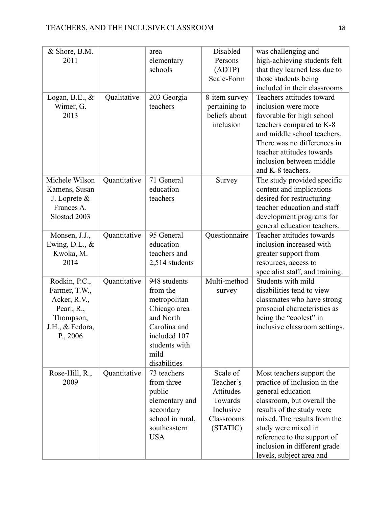| & Shore, B.M.<br>2011<br>Logan, B.E., $\&$<br>Wimer, G.<br>2013                                               | Qualitative  | area<br>elementary<br>schools<br>203 Georgia<br>teachers                                                                                       | Disabled<br>Persons<br>(ADTP)<br>Scale-Form<br>8-item survey<br>pertaining to<br>beliefs about<br>inclusion | was challenging and<br>high-achieving students felt<br>that they learned less due to<br>those students being<br>included in their classrooms<br>Teachers attitudes toward<br>inclusion were more<br>favorable for high school<br>teachers compared to K-8<br>and middle school teachers.<br>There was no differences in<br>teacher attitudes towards<br>inclusion between middle |
|---------------------------------------------------------------------------------------------------------------|--------------|------------------------------------------------------------------------------------------------------------------------------------------------|-------------------------------------------------------------------------------------------------------------|----------------------------------------------------------------------------------------------------------------------------------------------------------------------------------------------------------------------------------------------------------------------------------------------------------------------------------------------------------------------------------|
| Michele Wilson<br>Kamens, Susan<br>J. Loprete $\&$<br>Frances A.<br>Slostad 2003                              | Quantitative | 71 General<br>education<br>teachers                                                                                                            | Survey                                                                                                      | and K-8 teachers.<br>The study provided specific<br>content and implications<br>desired for restructuring<br>teacher education and staff<br>development programs for<br>general education teachers.                                                                                                                                                                              |
| Monsen, J.J.,<br>Ewing, D.L., $&$<br>Kwoka, M.<br>2014                                                        | Quantitative | 95 General<br>education<br>teachers and<br>2,514 students                                                                                      | Questionnaire                                                                                               | Teacher attitudes towards<br>inclusion increased with<br>greater support from<br>resources, access to<br>specialist staff, and training.                                                                                                                                                                                                                                         |
| Rodkin, P.C.,<br>Farmer, T.W.,<br>Acker, R.V.,<br>Pearl, R.,<br>Thompson,<br>J.H., & Fedora,<br>$P_{.,} 2006$ | Quantitative | 948 students<br>from the<br>metropolitan<br>Chicago area<br>and North<br>Carolina and<br>included 107<br>students with<br>mild<br>disabilities | Multi-method<br>survey                                                                                      | Students with mild<br>disabilities tend to view<br>classmates who have strong<br>prosocial characteristics as<br>being the "coolest" in<br>inclusive classroom settings.                                                                                                                                                                                                         |
| Rose-Hill, R.,<br>2009                                                                                        | Quantitative | 73 teachers<br>from three<br>public<br>elementary and<br>secondary<br>school in rural,<br>southeastern<br><b>USA</b>                           | Scale of<br>Teacher's<br>Attitudes<br>Towards<br>Inclusive<br>Classrooms<br>(STATIC)                        | Most teachers support the<br>practice of inclusion in the<br>general education<br>classroom, but overall the<br>results of the study were<br>mixed. The results from the<br>study were mixed in<br>reference to the support of<br>inclusion in different grade<br>levels, subject area and                                                                                       |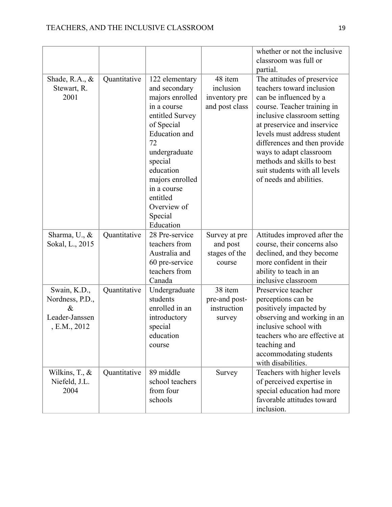|                                                                           |              |                                                                                                                                                                                                                                                                |                                                         | whether or not the inclusive<br>classroom was full or<br>partial.                                                                                                                                                                                                                                                                                                   |
|---------------------------------------------------------------------------|--------------|----------------------------------------------------------------------------------------------------------------------------------------------------------------------------------------------------------------------------------------------------------------|---------------------------------------------------------|---------------------------------------------------------------------------------------------------------------------------------------------------------------------------------------------------------------------------------------------------------------------------------------------------------------------------------------------------------------------|
| Shade, R.A., $\&$<br>Stewart, R.<br>2001                                  | Quantitative | 122 elementary<br>and secondary<br>majors enrolled<br>in a course<br>entitled Survey<br>of Special<br><b>Education</b> and<br>72<br>undergraduate<br>special<br>education<br>majors enrolled<br>in a course<br>entitled<br>Overview of<br>Special<br>Education | 48 item<br>inclusion<br>inventory pre<br>and post class | The attitudes of preservice<br>teachers toward inclusion<br>can be influenced by a<br>course. Teacher training in<br>inclusive classroom setting<br>at preservice and inservice<br>levels must address student<br>differences and then provide<br>ways to adapt classroom<br>methods and skills to best<br>suit students with all levels<br>of needs and abilities. |
| Sharma, U., $\&$<br>Sokal, L., 2015                                       | Quantitative | 28 Pre-service<br>teachers from<br>Australia and<br>60 pre-service<br>teachers from<br>Canada                                                                                                                                                                  | Survey at pre<br>and post<br>stages of the<br>course    | Attitudes improved after the<br>course, their concerns also<br>declined, and they become<br>more confident in their<br>ability to teach in an<br>inclusive classroom                                                                                                                                                                                                |
| Swain, K.D.,<br>Nordness, P.D.,<br>$\&$<br>Leader-Janssen<br>, E.M., 2012 | Quantitative | Undergraduate<br>students<br>enrolled in an<br>introductory<br>special<br>education<br>course                                                                                                                                                                  | 38 item<br>pre-and post-<br>instruction<br>survey       | Preservice teacher<br>perceptions can be<br>positively impacted by<br>observing and working in an<br>inclusive school with<br>teachers who are effective at<br>teaching and<br>accommodating students<br>with disabilities.                                                                                                                                         |
| Wilkins, $T_{\cdot}$ , $\&$<br>Niefeld, J.L.<br>2004                      | Quantitative | 89 middle<br>school teachers<br>from four<br>schools                                                                                                                                                                                                           | Survey                                                  | Teachers with higher levels<br>of perceived expertise in<br>special education had more<br>favorable attitudes toward<br>inclusion.                                                                                                                                                                                                                                  |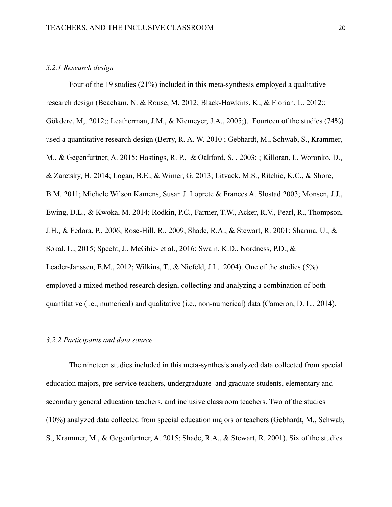#### *3.2.1 Research design*

Four of the 19 studies (21%) included in this meta-synthesis employed a qualitative research design (Beacham, N. & Rouse, M. 2012; Black-Hawkins, K., & Florian, L. 2012;; Gökdere, M., 2012;; Leatherman, J.M., & Niemeyer, J.A., 2005;). Fourteen of the studies (74%) used a quantitative research design (Berry, R. A. W. 2010 ; Gebhardt, M., Schwab, S., Krammer, M., & Gegenfurtner, A. 2015; Hastings, R. P., & Oakford, S. , 2003; ; Killoran, I., Woronko, D., & Zaretsky, H. 2014; Logan, B.E., & Wimer, G. 2013; Litvack, M.S., Ritchie, K.C., & Shore, B.M. 2011; Michele Wilson Kamens, Susan J. Loprete & Frances A. Slostad 2003; Monsen, J.J., Ewing, D.L., & Kwoka, M. 2014; Rodkin, P.C., Farmer, T.W., Acker, R.V., Pearl, R., Thompson, J.H., & Fedora, P., 2006; Rose-Hill, R., 2009; Shade, R.A., & Stewart, R. 2001; Sharma, U., & Sokal, L., 2015; Specht, J., McGhie- et al., 2016; Swain, K.D., Nordness, P.D., & Leader-Janssen, E.M., 2012; Wilkins, T., & Niefeld, J.L. 2004). One of the studies (5%) employed a mixed method research design, collecting and analyzing a combination of both quantitative (i.e., numerical) and qualitative (i.e., non-numerical) data (Cameron, D. L., 2014).

## *3.2.2 Participants and data source*

The nineteen studies included in this meta-synthesis analyzed data collected from special education majors, pre-service teachers, undergraduate and graduate students, elementary and secondary general education teachers, and inclusive classroom teachers. Two of the studies (10%) analyzed data collected from special education majors or teachers (Gebhardt, M., Schwab, S., Krammer, M., & Gegenfurtner, A. 2015; Shade, R.A., & Stewart, R. 2001). Six of the studies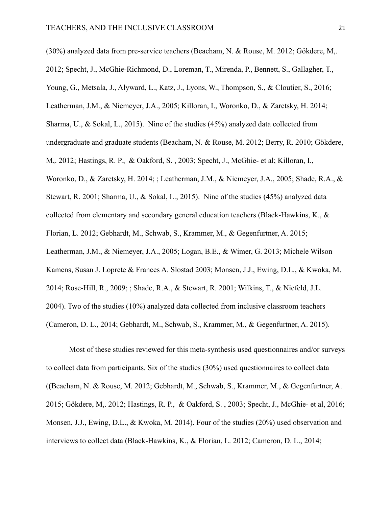(30%) analyzed data from pre-service teachers (Beacham, N. & Rouse, M. 2012; Gökdere, M,. 2012; Specht, J., McGhie-Richmond, D., Loreman, T., Mirenda, P., Bennett, S., Gallagher, T., Young, G., Metsala, J., Alyward, L., Katz, J., Lyons, W., Thompson, S., & Cloutier, S., 2016; Leatherman, J.M., & Niemeyer, J.A., 2005; Killoran, I., Woronko, D., & Zaretsky, H. 2014; Sharma, U., & Sokal, L., 2015). Nine of the studies (45%) analyzed data collected from undergraduate and graduate students (Beacham, N. & Rouse, M. 2012; Berry, R. 2010; Gökdere, M,. 2012; Hastings, R. P., & Oakford, S. , 2003; Specht, J., McGhie- et al; Killoran, I., Woronko, D., & Zaretsky, H. 2014; ; Leatherman, J.M., & Niemeyer, J.A., 2005; Shade, R.A., & Stewart, R. 2001; Sharma, U., & Sokal, L., 2015). Nine of the studies (45%) analyzed data collected from elementary and secondary general education teachers (Black-Hawkins, K., & Florian, L. 2012; Gebhardt, M., Schwab, S., Krammer, M., & Gegenfurtner, A. 2015; Leatherman, J.M., & Niemeyer, J.A., 2005; Logan, B.E., & Wimer, G. 2013; Michele Wilson Kamens, Susan J. Loprete & Frances A. Slostad 2003; Monsen, J.J., Ewing, D.L., & Kwoka, M. 2014; Rose-Hill, R., 2009; ; Shade, R.A., & Stewart, R. 2001; Wilkins, T., & Niefeld, J.L. 2004). Two of the studies (10%) analyzed data collected from inclusive classroom teachers (Cameron, D. L., 2014; Gebhardt, M., Schwab, S., Krammer, M., & Gegenfurtner, A. 2015).

Most of these studies reviewed for this meta-synthesis used questionnaires and/or surveys to collect data from participants. Six of the studies (30%) used questionnaires to collect data ((Beacham, N. & Rouse, M. 2012; Gebhardt, M., Schwab, S., Krammer, M., & Gegenfurtner, A. 2015; Gökdere, M,. 2012; Hastings, R. P., & Oakford, S. , 2003; Specht, J., McGhie- et al, 2016; Monsen, J.J., Ewing, D.L., & Kwoka, M. 2014). Four of the studies (20%) used observation and interviews to collect data (Black-Hawkins, K., & Florian, L. 2012; Cameron, D. L., 2014;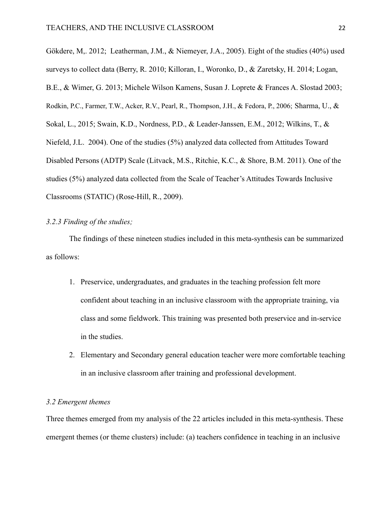Gökdere, M,. 2012; Leatherman, J.M., & Niemeyer, J.A., 2005). Eight of the studies (40%) used surveys to collect data (Berry, R. 2010; Killoran, I., Woronko, D., & Zaretsky, H. 2014; Logan, B.E., & Wimer, G. 2013; Michele Wilson Kamens, Susan J. Loprete & Frances A. Slostad 2003; Rodkin, P.C., Farmer, T.W., Acker, R.V., Pearl, R., Thompson, J.H., & Fedora, P., 2006; Sharma, U., & Sokal, L., 2015; Swain, K.D., Nordness, P.D., & Leader-Janssen, E.M., 2012; Wilkins, T., & Niefeld, J.L. 2004). One of the studies (5%) analyzed data collected from Attitudes Toward Disabled Persons (ADTP) Scale (Litvack, M.S., Ritchie, K.C., & Shore, B.M. 2011). One of the studies (5%) analyzed data collected from the Scale of Teacher's Attitudes Towards Inclusive Classrooms (STATIC) (Rose-Hill, R., 2009).

## *3.2.3 Finding of the studies;*

The findings of these nineteen studies included in this meta-synthesis can be summarized as follows:

- 1. Preservice, undergraduates, and graduates in the teaching profession felt more confident about teaching in an inclusive classroom with the appropriate training, via class and some fieldwork. This training was presented both preservice and in-service in the studies.
- 2. Elementary and Secondary general education teacher were more comfortable teaching in an inclusive classroom after training and professional development.

## *3.2 Emergent themes*

Three themes emerged from my analysis of the 22 articles included in this meta-synthesis. These emergent themes (or theme clusters) include: (a) teachers confidence in teaching in an inclusive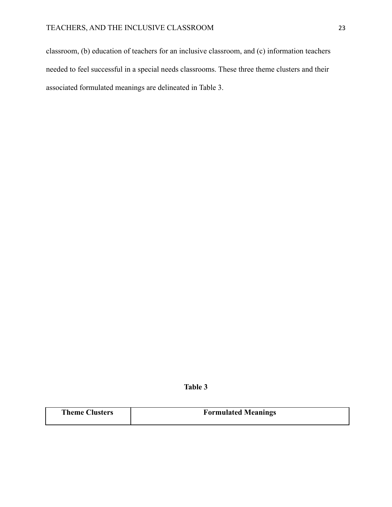classroom, (b) education of teachers for an inclusive classroom, and (c) information teachers needed to feel successful in a special needs classrooms. These three theme clusters and their associated formulated meanings are delineated in Table 3.

**Table 3**

| <b>Theme Clusters</b> | <b>Formulated Meanings</b> |
|-----------------------|----------------------------|
|                       |                            |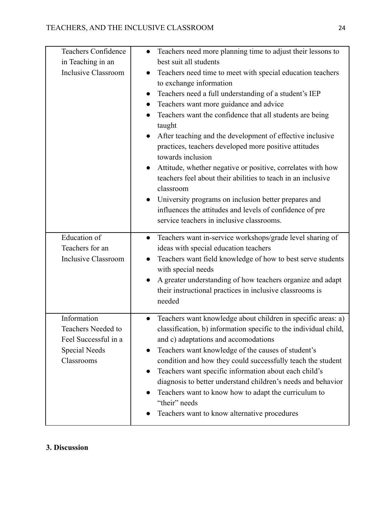| <b>Teachers Confidence</b>                 | Teachers need more planning time to adjust their lessons to<br>$\bullet$                                                         |
|--------------------------------------------|----------------------------------------------------------------------------------------------------------------------------------|
| in Teaching in an                          | best suit all students                                                                                                           |
| <b>Inclusive Classroom</b>                 | Teachers need time to meet with special education teachers                                                                       |
|                                            | to exchange information                                                                                                          |
|                                            | Teachers need a full understanding of a student's IEP<br>$\bullet$                                                               |
|                                            | Teachers want more guidance and advice<br>$\bullet$                                                                              |
|                                            | Teachers want the confidence that all students are being                                                                         |
|                                            | taught                                                                                                                           |
|                                            | After teaching and the development of effective inclusive                                                                        |
|                                            | practices, teachers developed more positive attitudes<br>towards inclusion                                                       |
|                                            | Attitude, whether negative or positive, correlates with how                                                                      |
|                                            | teachers feel about their abilities to teach in an inclusive                                                                     |
|                                            | classroom                                                                                                                        |
|                                            | University programs on inclusion better prepares and                                                                             |
|                                            | influences the attitudes and levels of confidence of pre                                                                         |
|                                            | service teachers in inclusive classrooms.                                                                                        |
|                                            |                                                                                                                                  |
| <b>Education</b> of                        | Teachers want in-service workshops/grade level sharing of<br>$\bullet$                                                           |
| Teachers for an                            | ideas with special education teachers                                                                                            |
| <b>Inclusive Classroom</b>                 | Teachers want field knowledge of how to best serve students<br>$\bullet$<br>with special needs                                   |
|                                            | A greater understanding of how teachers organize and adapt                                                                       |
|                                            | their instructional practices in inclusive classrooms is                                                                         |
|                                            | needed                                                                                                                           |
| Information                                |                                                                                                                                  |
|                                            | Teachers want knowledge about children in specific areas: a)<br>classification, b) information specific to the individual child, |
| Teachers Needed to<br>Feel Successful in a | and c) adaptations and accomodations                                                                                             |
| Special Needs                              | Teachers want knowledge of the causes of student's<br>$\bullet$                                                                  |
| Classrooms                                 | condition and how they could successfully teach the student                                                                      |
|                                            | Teachers want specific information about each child's                                                                            |
|                                            | diagnosis to better understand children's needs and behavior                                                                     |
|                                            | Teachers want to know how to adapt the curriculum to<br>$\bullet$                                                                |
|                                            | "their" needs                                                                                                                    |
|                                            | Teachers want to know alternative procedures                                                                                     |
|                                            |                                                                                                                                  |

# **3. Discussion**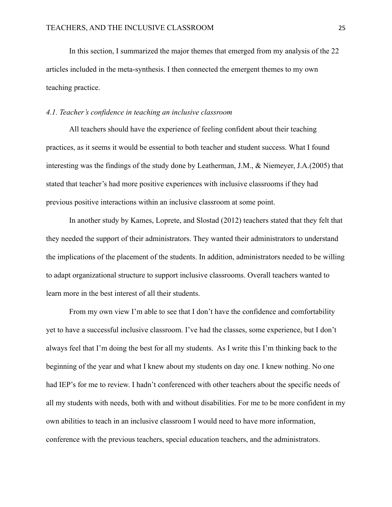In this section, I summarized the major themes that emerged from my analysis of the 22 articles included in the meta-synthesis. I then connected the emergent themes to my own teaching practice.

#### *4.1. Teacher's confidence in teaching an inclusive classroom*

All teachers should have the experience of feeling confident about their teaching practices, as it seems it would be essential to both teacher and student success. What I found interesting was the findings of the study done by Leatherman, J.M., & Niemeyer, J.A.(2005) that stated that teacher's had more positive experiences with inclusive classrooms if they had previous positive interactions within an inclusive classroom at some point.

In another study by Kames, Loprete, and Slostad (2012) teachers stated that they felt that they needed the support of their administrators. They wanted their administrators to understand the implications of the placement of the students. In addition, administrators needed to be willing to adapt organizational structure to support inclusive classrooms. Overall teachers wanted to learn more in the best interest of all their students.

From my own view I'm able to see that I don't have the confidence and comfortability yet to have a successful inclusive classroom. I've had the classes, some experience, but I don't always feel that I'm doing the best for all my students. As I write this I'm thinking back to the beginning of the year and what I knew about my students on day one. I knew nothing. No one had IEP's for me to review. I hadn't conferenced with other teachers about the specific needs of all my students with needs, both with and without disabilities. For me to be more confident in my own abilities to teach in an inclusive classroom I would need to have more information, conference with the previous teachers, special education teachers, and the administrators.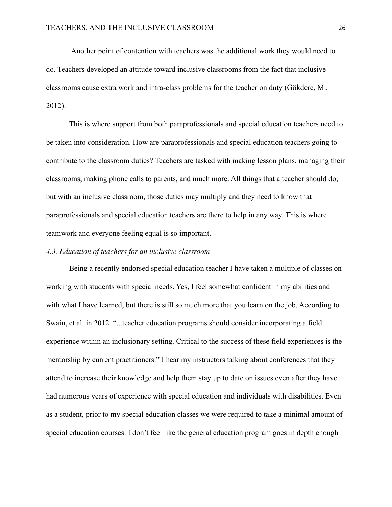Another point of contention with teachers was the additional work they would need to do. Teachers developed an attitude toward inclusive classrooms from the fact that inclusive classrooms cause extra work and intra-class problems for the teacher on duty (Gökdere, M., 2012).

This is where support from both paraprofessionals and special education teachers need to be taken into consideration. How are paraprofessionals and special education teachers going to contribute to the classroom duties? Teachers are tasked with making lesson plans, managing their classrooms, making phone calls to parents, and much more. All things that a teacher should do, but with an inclusive classroom, those duties may multiply and they need to know that paraprofessionals and special education teachers are there to help in any way. This is where teamwork and everyone feeling equal is so important.

#### *4.3. Education of teachers for an inclusive classroom*

Being a recently endorsed special education teacher I have taken a multiple of classes on working with students with special needs. Yes, I feel somewhat confident in my abilities and with what I have learned, but there is still so much more that you learn on the job. According to Swain, et al. in 2012 "...teacher education programs should consider incorporating a field experience within an inclusionary setting. Critical to the success of these field experiences is the mentorship by current practitioners." I hear my instructors talking about conferences that they attend to increase their knowledge and help them stay up to date on issues even after they have had numerous years of experience with special education and individuals with disabilities. Even as a student, prior to my special education classes we were required to take a minimal amount of special education courses. I don't feel like the general education program goes in depth enough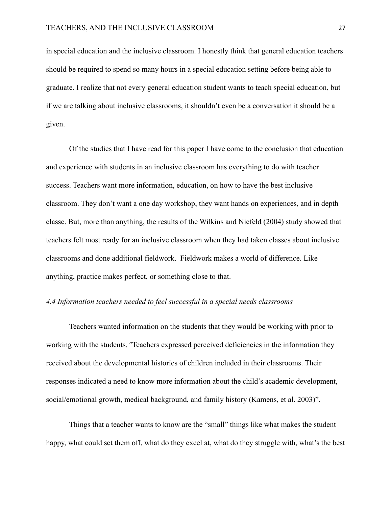in special education and the inclusive classroom. I honestly think that general education teachers should be required to spend so many hours in a special education setting before being able to graduate. I realize that not every general education student wants to teach special education, but if we are talking about inclusive classrooms, it shouldn't even be a conversation it should be a given.

Of the studies that I have read for this paper I have come to the conclusion that education and experience with students in an inclusive classroom has everything to do with teacher success. Teachers want more information, education, on how to have the best inclusive classroom. They don't want a one day workshop, they want hands on experiences, and in depth classe. But, more than anything, the results of the Wilkins and Niefeld (2004) study showed that teachers felt most ready for an inclusive classroom when they had taken classes about inclusive classrooms and done additional fieldwork. Fieldwork makes a world of difference. Like anything, practice makes perfect, or something close to that.

#### *4.4 Information teachers needed to feel successful in a special needs classrooms*

Teachers wanted information on the students that they would be working with prior to working with the students. "Teachers expressed perceived deficiencies in the information they received about the developmental histories of children included in their classrooms. Their responses indicated a need to know more information about the child's academic development, social/emotional growth, medical background, and family history (Kamens, et al. 2003)".

Things that a teacher wants to know are the "small" things like what makes the student happy, what could set them off, what do they excel at, what do they struggle with, what's the best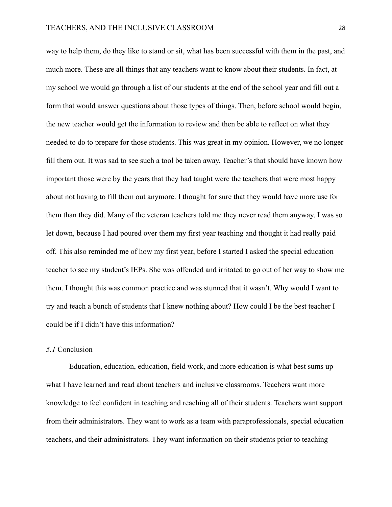way to help them, do they like to stand or sit, what has been successful with them in the past, and much more. These are all things that any teachers want to know about their students. In fact, at my school we would go through a list of our students at the end of the school year and fill out a form that would answer questions about those types of things. Then, before school would begin, the new teacher would get the information to review and then be able to reflect on what they needed to do to prepare for those students. This was great in my opinion. However, we no longer fill them out. It was sad to see such a tool be taken away. Teacher's that should have known how important those were by the years that they had taught were the teachers that were most happy about not having to fill them out anymore. I thought for sure that they would have more use for them than they did. Many of the veteran teachers told me they never read them anyway. I was so let down, because I had poured over them my first year teaching and thought it had really paid off. This also reminded me of how my first year, before I started I asked the special education teacher to see my student's IEPs. She was offended and irritated to go out of her way to show me them. I thought this was common practice and was stunned that it wasn't. Why would I want to try and teach a bunch of students that I knew nothing about? How could I be the best teacher I could be if I didn't have this information?

## *5.1* Conclusion

Education, education, education, field work, and more education is what best sums up what I have learned and read about teachers and inclusive classrooms. Teachers want more knowledge to feel confident in teaching and reaching all of their students. Teachers want support from their administrators. They want to work as a team with paraprofessionals, special education teachers, and their administrators. They want information on their students prior to teaching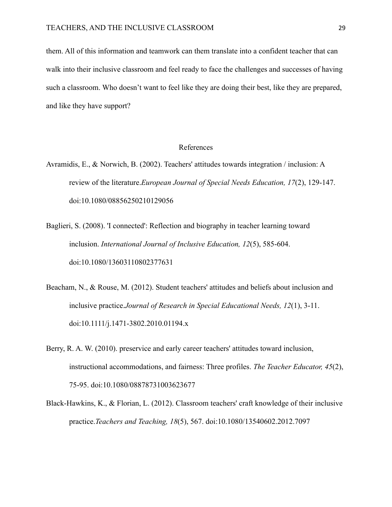them. All of this information and teamwork can them translate into a confident teacher that can walk into their inclusive classroom and feel ready to face the challenges and successes of having such a classroom. Who doesn't want to feel like they are doing their best, like they are prepared, and like they have support?

#### References

- Avramidis, E., & Norwich, B. (2002). Teachers' attitudes towards integration / inclusion: A review of the literature.*European Journal of Special Needs Education, 17*(2), 129-147. doi:10.1080/08856250210129056
- Baglieri, S. (2008). 'I connected': Reflection and biography in teacher learning toward inclusion. *International Journal of Inclusive Education, 12*(5), 585-604. doi:10.1080/13603110802377631
- Beacham, N., & Rouse, M. (2012). Student teachers' attitudes and beliefs about inclusion and inclusive practice.*Journal of Research in Special Educational Needs, 12*(1), 3-11. doi:10.1111/j.1471-3802.2010.01194.x
- Berry, R. A. W. (2010). preservice and early career teachers' attitudes toward inclusion, instructional accommodations, and fairness: Three profiles. *The Teacher Educator, 45*(2), 75-95. doi:10.1080/08878731003623677
- Black-Hawkins, K., & Florian, L. (2012). Classroom teachers' craft knowledge of their inclusive practice.*Teachers and Teaching, 18*(5), 567. doi:10.1080/13540602.2012.7097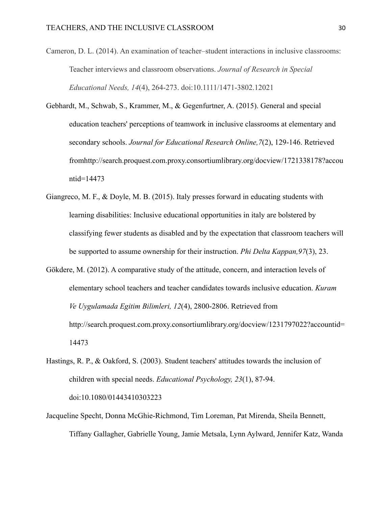- Cameron, D. L. (2014). An examination of teacher–student interactions in inclusive classrooms: Teacher interviews and classroom observations. *Journal of Research in Special Educational Needs, 14*(4), 264-273. doi:10.1111/1471-3802.12021
- Gebhardt, M., Schwab, S., Krammer, M., & Gegenfurtner, A. (2015). General and special education teachers' perceptions of teamwork in inclusive classrooms at elementary and secondary schools. *Journal for Educational Research Online,7*(2), 129-146. Retrieved fromhttp://search.proquest.com.proxy.consortiumlibrary.org/docview/1721338178?accou ntid=14473
- Giangreco, M. F., & Doyle, M. B. (2015). Italy presses forward in educating students with learning disabilities: Inclusive educational opportunities in italy are bolstered by classifying fewer students as disabled and by the expectation that classroom teachers will be supported to assume ownership for their instruction. *Phi Delta Kappan,97*(3), 23.
- Gökdere, M. (2012). A comparative study of the attitude, concern, and interaction levels of elementary school teachers and teacher candidates towards inclusive education. *Kuram Ve Uygulamada Egitim Bilimleri, 12*(4), 2800-2806. Retrieved from http://search.proquest.com.proxy.consortiumlibrary.org/docview/1231797022?accountid= 14473
- Hastings, R. P., & Oakford, S. (2003). Student teachers' attitudes towards the inclusion of children with special needs. *Educational Psychology, 23*(1), 87-94. doi:10.1080/01443410303223
- Jacqueline Specht, Donna McGhie-Richmond, Tim Loreman, Pat Mirenda, Sheila Bennett, Tiffany Gallagher, Gabrielle Young, Jamie Metsala, Lynn Aylward, Jennifer Katz, Wanda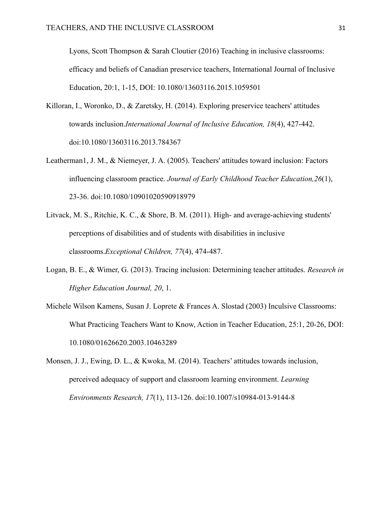Lyons, Scott Thompson & Sarah Cloutier (2016) Teaching in inclusive classrooms: efficacy and beliefs of Canadian preservice teachers, International Journal of Inclusive Education, 20:1, 1-15, DOI: 10.1080/13603116.2015.1059501

- Killoran, I., Woronko, D., & Zaretsky, H. (2014). Exploring preservice teachers' attitudes towards inclusion.*International Journal of Inclusive Education, 18*(4), 427-442. doi:10.1080/13603116.2013.784367
- Leatherman1, J. M., & Niemeyer, J. A. (2005). Teachers' attitudes toward inclusion: Factors influencing classroom practice. *Journal of Early Childhood Teacher Education,26*(1), 23-36. doi:10.1080/10901020590918979
- Litvack, M. S., Ritchie, K. C., & Shore, B. M. (2011). High- and average-achieving students' perceptions of disabilities and of students with disabilities in inclusive classrooms.*Exceptional Children, 77*(4), 474-487.
- Logan, B. E., & Wimer, G. (2013). Tracing inclusion: Determining teacher attitudes. *Research in Higher Education Journal, 20*, 1.
- Michele Wilson Kamens, Susan J. Loprete & Frances A. Slostad (2003) Inculsive Classrooms: What Practicing Teachers Want to Know, Action in Teacher Education, 25:1, 20-26, DOI: 10.1080/01626620.2003.10463289
- Monsen, J. J., Ewing, D. L., & Kwoka, M. (2014). Teachers' attitudes towards inclusion, perceived adequacy of support and classroom learning environment. *Learning Environments Research, 17*(1), 113-126. doi:10.1007/s10984-013-9144-8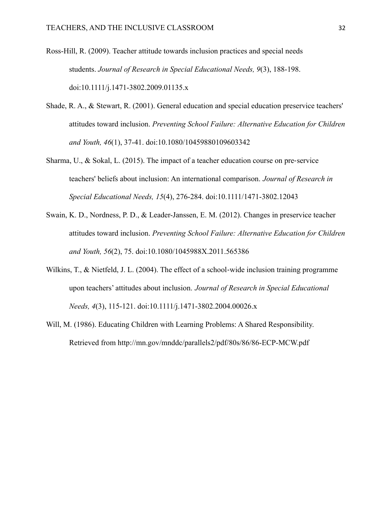- Ross-Hill, R. (2009). Teacher attitude towards inclusion practices and special needs students. *Journal of Research in Special Educational Needs, 9*(3), 188-198. doi:10.1111/j.1471-3802.2009.01135.x
- Shade, R. A., & Stewart, R. (2001). General education and special education preservice teachers' attitudes toward inclusion. *Preventing School Failure: Alternative Education for Children and Youth, 46*(1), 37-41. doi:10.1080/10459880109603342
- Sharma, U., & Sokal, L. (2015). The impact of a teacher education course on pre-service teachers' beliefs about inclusion: An international comparison. *Journal of Research in Special Educational Needs, 15*(4), 276-284. doi:10.1111/1471-3802.12043
- Swain, K. D., Nordness, P. D., & Leader-Janssen, E. M. (2012). Changes in preservice teacher attitudes toward inclusion. *Preventing School Failure: Alternative Education for Children and Youth, 56*(2), 75. doi:10.1080/1045988X.2011.565386
- Wilkins, T., & Nietfeld, J. L. (2004). The effect of a school-wide inclusion training programme upon teachers' attitudes about inclusion. *Journal of Research in Special Educational Needs, 4*(3), 115-121. doi:10.1111/j.1471-3802.2004.00026.x
- Will, M. (1986). Educating Children with Learning Problems: A Shared Responsibility. Retrieved from http://mn.gov/mnddc/parallels2/pdf/80s/86/86-ECP-MCW.pdf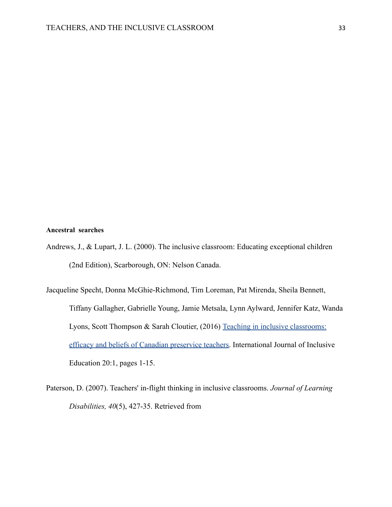#### **Ancestral searches**

- Andrews, J., & Lupart, J. L. (2000). The inclusive classroom: Educating exceptional children (2nd Edition), Scarborough, ON: Nelson Canada.
- Jacqueline Specht, Donna McGhie-Richmond, Tim Loreman, Pat Mirenda, Sheila Bennett, Tiffany Gallagher, Gabrielle Young, Jamie Metsala, Lynn Aylward, Jennifer Katz, Wanda Lyons, Scott Thompson & Sarah Cloutier, (2016) Teaching [in inclusive classrooms:](https://www.tandfonline.com.proxy.consortiumlibrary.org/doi/abs/10.1080/13603116.2015.1059501) [efficacy and beliefs of Canadian preservice teachers.](https://www.tandfonline.com.proxy.consortiumlibrary.org/doi/abs/10.1080/13603116.2015.1059501) International Journal of Inclusive Education 20:1, pages 1-15.
- Paterson, D. (2007). Teachers' in-flight thinking in inclusive classrooms. *Journal of Learning Disabilities, 40*(5), 427-35. Retrieved from